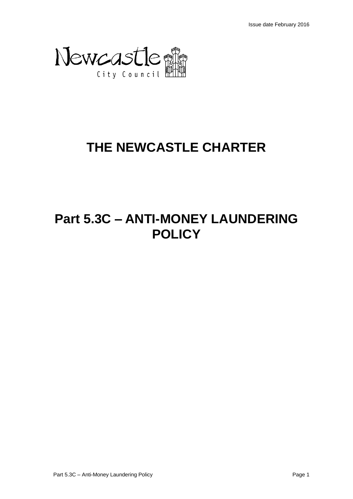

# **THE NEWCASTLE CHARTER**

# **Part 5.3C – ANTI-MONEY LAUNDERING POLICY**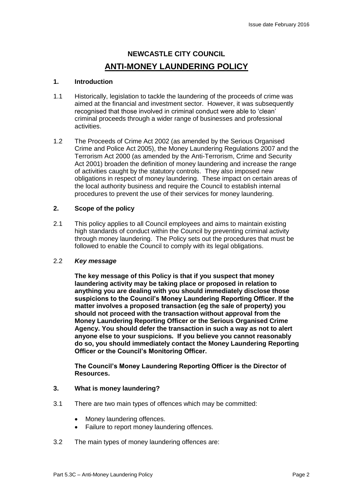## **NEWCASTLE CITY COUNCIL ANTI-MONEY LAUNDERING POLICY**

## **1. Introduction**

- 1.1 Historically, legislation to tackle the laundering of the proceeds of crime was aimed at the financial and investment sector. However, it was subsequently recognised that those involved in criminal conduct were able to 'clean' criminal proceeds through a wider range of businesses and professional activities.
- 1.2 The Proceeds of Crime Act 2002 (as amended by the Serious Organised Crime and Police Act 2005), the Money Laundering Regulations 2007 and the Terrorism Act 2000 (as amended by the Anti-Terrorism, Crime and Security Act 2001) broaden the definition of money laundering and increase the range of activities caught by the statutory controls. They also imposed new obligations in respect of money laundering. These impact on certain areas of the local authority business and require the Council to establish internal procedures to prevent the use of their services for money laundering.

### **2. Scope of the policy**

2.1 This policy applies to all Council employees and aims to maintain existing high standards of conduct within the Council by preventing criminal activity through money laundering. The Policy sets out the procedures that must be followed to enable the Council to comply with its legal obligations.

## 2.2 *Key message*

**The key message of this Policy is that if you suspect that money laundering activity may be taking place or proposed in relation to anything you are dealing with you should immediately disclose those suspicions to the Council's Money Laundering Reporting Officer. If the matter involves a proposed transaction (eg the sale of property) you should not proceed with the transaction without approval from the Money Laundering Reporting Officer or the Serious Organised Crime Agency. You should defer the transaction in such a way as not to alert anyone else to your suspicions. If you believe you cannot reasonably do so, you should immediately contact the Money Laundering Reporting Officer or the Council's Monitoring Officer.** 

**The Council's Money Laundering Reporting Officer is the Director of Resources.**

## **3. What is money laundering?**

- 3.1 There are two main types of offences which may be committed:
	- Money laundering offences.
	- Failure to report money laundering offences.
- 3.2 The main types of money laundering offences are: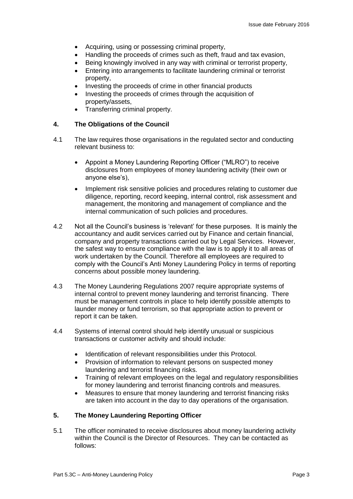- Acquiring, using or possessing criminal property,
- Handling the proceeds of crimes such as theft, fraud and tax evasion,
- Being knowingly involved in any way with criminal or terrorist property,
- Entering into arrangements to facilitate laundering criminal or terrorist property,
- Investing the proceeds of crime in other financial products
- Investing the proceeds of crimes through the acquisition of property/assets,
- Transferring criminal property.

### **4. The Obligations of the Council**

- 4.1 The law requires those organisations in the regulated sector and conducting relevant business to:
	- Appoint a Money Laundering Reporting Officer ("MLRO") to receive disclosures from employees of money laundering activity (their own or anyone else's),
	- Implement risk sensitive policies and procedures relating to customer due diligence, reporting, record keeping, internal control, risk assessment and management, the monitoring and management of compliance and the internal communication of such policies and procedures.
- 4.2 Not all the Council's business is 'relevant' for these purposes. It is mainly the accountancy and audit services carried out by Finance and certain financial, company and property transactions carried out by Legal Services. However, the safest way to ensure compliance with the law is to apply it to all areas of work undertaken by the Council. Therefore all employees are required to comply with the Council's Anti Money Laundering Policy in terms of reporting concerns about possible money laundering.
- 4.3 The Money Laundering Regulations 2007 require appropriate systems of internal control to prevent money laundering and terrorist financing. There must be management controls in place to help identify possible attempts to launder money or fund terrorism, so that appropriate action to prevent or report it can be taken.
- 4.4 Systems of internal control should help identify unusual or suspicious transactions or customer activity and should include:
	- Identification of relevant responsibilities under this Protocol.
	- Provision of information to relevant persons on suspected money laundering and terrorist financing risks.
	- Training of relevant employees on the legal and regulatory responsibilities for money laundering and terrorist financing controls and measures.
	- Measures to ensure that money laundering and terrorist financing risks are taken into account in the day to day operations of the organisation.

## **5. The Money Laundering Reporting Officer**

5.1 The officer nominated to receive disclosures about money laundering activity within the Council is the Director of Resources. They can be contacted as follows: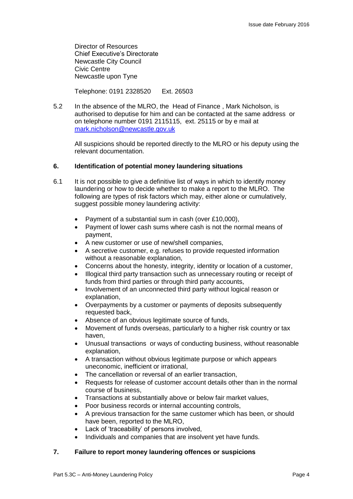Director of Resources Chief Executive's Directorate Newcastle City Council Civic Centre Newcastle upon Tyne

Telephone: 0191 2328520 Ext. 26503

5.2 In the absence of the MLRO, the Head of Finance , Mark Nicholson, is authorised to deputise for him and can be contacted at the same address or on telephone number 0191 2115115, ext. 25115 or by e mail at [mark.nicholson@newcastle.gov.uk](mailto:mark.nicholson@newcastle.gov.uk)

All suspicions should be reported directly to the MLRO or his deputy using the relevant documentation.

## **6. Identification of potential money laundering situations**

- 6.1 It is not possible to give a definitive list of ways in which to identify money laundering or how to decide whether to make a report to the MLRO. The following are types of risk factors which may, either alone or cumulatively, suggest possible money laundering activity:
	- Payment of a substantial sum in cash (over £10,000),
	- Payment of lower cash sums where cash is not the normal means of payment,
	- A new customer or use of new/shell companies,
	- A secretive customer, e.g. refuses to provide requested information without a reasonable explanation,
	- Concerns about the honesty, integrity, identity or location of a customer,
	- Illogical third party transaction such as unnecessary routing or receipt of funds from third parties or through third party accounts,
	- Involvement of an unconnected third party without logical reason or explanation,
	- Overpayments by a customer or payments of deposits subsequently requested back,
	- Absence of an obvious legitimate source of funds,
	- Movement of funds overseas, particularly to a higher risk country or tax haven,
	- Unusual transactions or ways of conducting business, without reasonable explanation,
	- A transaction without obvious legitimate purpose or which appears uneconomic, inefficient or irrational,
	- The cancellation or reversal of an earlier transaction.
	- Requests for release of customer account details other than in the normal course of business,
	- Transactions at substantially above or below fair market values,
	- Poor business records or internal accounting controls,
	- A previous transaction for the same customer which has been, or should have been, reported to the MLRO,
	- Lack of 'traceability' of persons involved,
	- Individuals and companies that are insolvent yet have funds.

## **7. Failure to report money laundering offences or suspicions**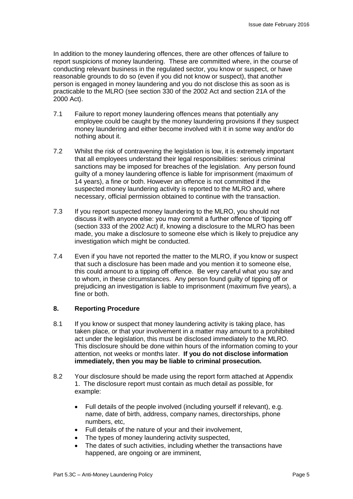In addition to the money laundering offences, there are other offences of failure to report suspicions of money laundering. These are committed where, in the course of conducting relevant business in the regulated sector, you know or suspect, or have reasonable grounds to do so (even if you did not know or suspect), that another person is engaged in money laundering and you do not disclose this as soon as is practicable to the MLRO (see section 330 of the 2002 Act and section 21A of the 2000 Act).

- 7.1 Failure to report money laundering offences means that potentially any employee could be caught by the money laundering provisions if they suspect money laundering and either become involved with it in some way and/or do nothing about it.
- 7.2 Whilst the risk of contravening the legislation is low, it is extremely important that all employees understand their legal responsibilities: serious criminal sanctions may be imposed for breaches of the legislation. Any person found guilty of a money laundering offence is liable for imprisonment (maximum of 14 years), a fine or both. However an offence is not committed if the suspected money laundering activity is reported to the MLRO and, where necessary, official permission obtained to continue with the transaction.
- 7.3 If you report suspected money laundering to the MLRO, you should not discuss it with anyone else: you may commit a further offence of 'tipping off' (section 333 of the 2002 Act) if, knowing a disclosure to the MLRO has been made, you make a disclosure to someone else which is likely to prejudice any investigation which might be conducted.
- 7.4 Even if you have not reported the matter to the MLRO, if you know or suspect that such a disclosure has been made and you mention it to someone else, this could amount to a tipping off offence. Be very careful what you say and to whom, in these circumstances. Any person found guilty of tipping off or prejudicing an investigation is liable to imprisonment (maximum five years), a fine or both.

## **8. Reporting Procedure**

- 8.1 If you know or suspect that money laundering activity is taking place, has taken place, or that your involvement in a matter may amount to a prohibited act under the legislation, this must be disclosed immediately to the MLRO. This disclosure should be done within hours of the information coming to your attention, not weeks or months later. **If you do not disclose information immediately, then you may be liable to criminal prosecution.**
- 8.2 Your disclosure should be made using the report form attached at Appendix 1. The disclosure report must contain as much detail as possible, for example:
	- Full details of the people involved (including yourself if relevant), e.g. name, date of birth, address, company names, directorships, phone numbers, etc,
	- Full details of the nature of your and their involvement,
	- The types of money laundering activity suspected,
	- The dates of such activities, including whether the transactions have happened, are ongoing or are imminent,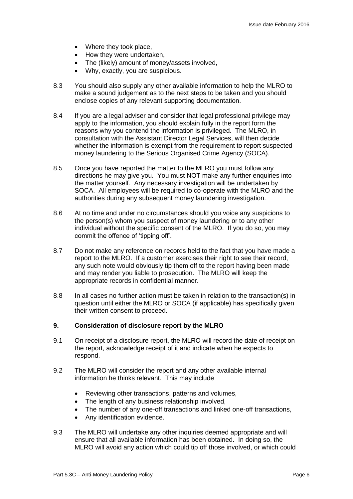- Where they took place,
- How they were undertaken,
- The (likely) amount of money/assets involved,
- Why, exactly, you are suspicious.
- 8.3 You should also supply any other available information to help the MLRO to make a sound judgement as to the next steps to be taken and you should enclose copies of any relevant supporting documentation.
- 8.4 If you are a legal adviser and consider that legal professional privilege may apply to the information, you should explain fully in the report form the reasons why you contend the information is privileged. The MLRO, in consultation with the Assistant Director Legal Services, will then decide whether the information is exempt from the requirement to report suspected money laundering to the Serious Organised Crime Agency (SOCA).
- 8.5 Once you have reported the matter to the MLRO you must follow any directions he may give you. You must NOT make any further enquiries into the matter yourself. Any necessary investigation will be undertaken by SOCA. All employees will be required to co-operate with the MLRO and the authorities during any subsequent money laundering investigation.
- 8.6 At no time and under no circumstances should you voice any suspicions to the person(s) whom you suspect of money laundering or to any other individual without the specific consent of the MLRO. If you do so, you may commit the offence of 'tipping off'.
- 8.7 Do not make any reference on records held to the fact that you have made a report to the MLRO. If a customer exercises their right to see their record, any such note would obviously tip them off to the report having been made and may render you liable to prosecution. The MLRO will keep the appropriate records in confidential manner.
- 8.8 In all cases no further action must be taken in relation to the transaction(s) in question until either the MLRO or SOCA (if applicable) has specifically given their written consent to proceed.

#### **9. Consideration of disclosure report by the MLRO**

- 9.1 On receipt of a disclosure report, the MLRO will record the date of receipt on the report, acknowledge receipt of it and indicate when he expects to respond.
- 9.2 The MLRO will consider the report and any other available internal information he thinks relevant. This may include
	- Reviewing other transactions, patterns and volumes,
	- The length of any business relationship involved,
	- The number of any one-off transactions and linked one-off transactions,
	- Any identification evidence.
- 9.3 The MLRO will undertake any other inquiries deemed appropriate and will ensure that all available information has been obtained. In doing so, the MLRO will avoid any action which could tip off those involved, or which could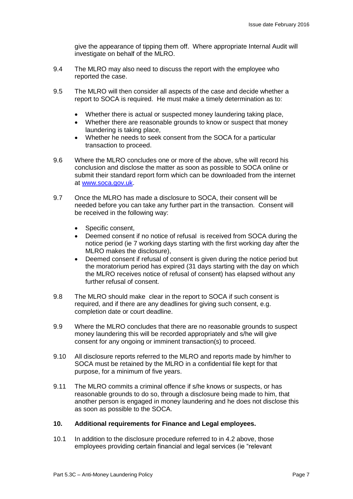give the appearance of tipping them off. Where appropriate Internal Audit will investigate on behalf of the MLRO.

- 9.4 The MLRO may also need to discuss the report with the employee who reported the case.
- 9.5 The MLRO will then consider all aspects of the case and decide whether a report to SOCA is required. He must make a timely determination as to:
	- Whether there is actual or suspected money laundering taking place,
	- Whether there are reasonable grounds to know or suspect that money laundering is taking place,
	- Whether he needs to seek consent from the SOCA for a particular transaction to proceed.
- 9.6 Where the MLRO concludes one or more of the above, s/he will record his conclusion and disclose the matter as soon as possible to SOCA online or submit their standard report form which can be downloaded from the internet at [www.soca.gov.uk.](http://www.soca.gov.uk/)
- 9.7 Once the MLRO has made a disclosure to SOCA, their consent will be needed before you can take any further part in the transaction. Consent will be received in the following way:
	- Specific consent,
	- Deemed consent if no notice of refusal is received from SOCA during the notice period (ie 7 working days starting with the first working day after the MLRO makes the disclosure),
	- Deemed consent if refusal of consent is given during the notice period but the moratorium period has expired (31 days starting with the day on which the MLRO receives notice of refusal of consent) has elapsed without any further refusal of consent.
- 9.8 The MLRO should make clear in the report to SOCA if such consent is required, and if there are any deadlines for giving such consent, e.g. completion date or court deadline.
- 9.9 Where the MLRO concludes that there are no reasonable grounds to suspect money laundering this will be recorded appropriately and s/he will give consent for any ongoing or imminent transaction(s) to proceed.
- 9.10 All disclosure reports referred to the MLRO and reports made by him/her to SOCA must be retained by the MLRO in a confidential file kept for that purpose, for a minimum of five years.
- 9.11 The MLRO commits a criminal offence if s/he knows or suspects, or has reasonable grounds to do so, through a disclosure being made to him, that another person is engaged in money laundering and he does not disclose this as soon as possible to the SOCA.

## **10. Additional requirements for Finance and Legal employees.**

10.1 In addition to the disclosure procedure referred to in 4.2 above, those employees providing certain financial and legal services (ie "relevant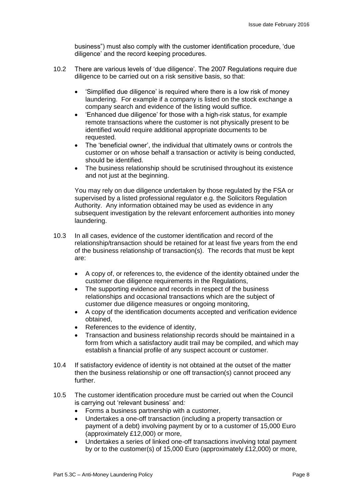business") must also comply with the customer identification procedure, 'due diligence' and the record keeping procedures.

- 10.2 There are various levels of 'due diligence'. The 2007 Regulations require due diligence to be carried out on a risk sensitive basis, so that:
	- 'Simplified due diligence' is required where there is a low risk of money laundering. For example if a company is listed on the stock exchange a company search and evidence of the listing would suffice.
	- 'Enhanced due diligence' for those with a high-risk status, for example remote transactions where the customer is not physically present to be identified would require additional appropriate documents to be requested.
	- The 'beneficial owner', the individual that ultimately owns or controls the customer or on whose behalf a transaction or activity is being conducted, should be identified.
	- The business relationship should be scrutinised throughout its existence and not just at the beginning.

You may rely on due diligence undertaken by those regulated by the FSA or supervised by a listed professional regulator e.g. the Solicitors Regulation Authority. Any information obtained may be used as evidence in any subsequent investigation by the relevant enforcement authorities into money laundering.

- 10.3 In all cases, evidence of the customer identification and record of the relationship/transaction should be retained for at least five years from the end of the business relationship of transaction(s). The records that must be kept are:
	- A copy of, or references to, the evidence of the identity obtained under the customer due diligence requirements in the Regulations,
	- The supporting evidence and records in respect of the business relationships and occasional transactions which are the subject of customer due diligence measures or ongoing monitoring,
	- A copy of the identification documents accepted and verification evidence obtained,
	- References to the evidence of identity,
	- Transaction and business relationship records should be maintained in a form from which a satisfactory audit trail may be compiled, and which may establish a financial profile of any suspect account or customer.
- 10.4 If satisfactory evidence of identity is not obtained at the outset of the matter then the business relationship or one off transaction(s) cannot proceed any further.
- 10.5 The customer identification procedure must be carried out when the Council is carrying out 'relevant business' and*:* 
	- Forms a business partnership with a customer,
	- Undertakes a one-off transaction (including a property transaction or payment of a debt) involving payment by or to a customer of 15,000 Euro (approximately £12,000) or more,
	- Undertakes a series of linked one-off transactions involving total payment by or to the customer(s) of 15,000 Euro (approximately £12,000) or more,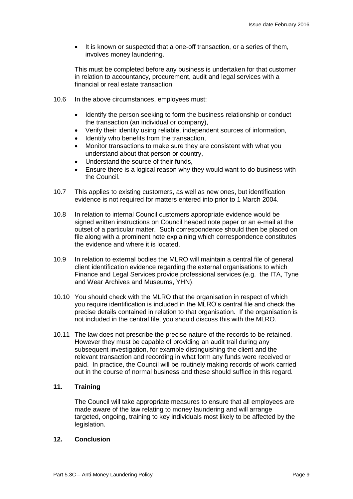It is known or suspected that a one-off transaction, or a series of them, involves money laundering.

This must be completed before any business is undertaken for that customer in relation to accountancy, procurement, audit and legal services with a financial or real estate transaction.

- 10.6 In the above circumstances, employees must:
	- Identify the person seeking to form the business relationship or conduct the transaction (an individual or company),
	- Verify their identity using reliable, independent sources of information,
	- Identify who benefits from the transaction,
	- Monitor transactions to make sure they are consistent with what you understand about that person or country,
	- Understand the source of their funds,
	- Ensure there is a logical reason why they would want to do business with the Council.
- 10.7 This applies to existing customers, as well as new ones, but identification evidence is not required for matters entered into prior to 1 March 2004.
- 10.8 In relation to internal Council customers appropriate evidence would be signed written instructions on Council headed note paper or an e-mail at the outset of a particular matter. Such correspondence should then be placed on file along with a prominent note explaining which correspondence constitutes the evidence and where it is located.
- 10.9 In relation to external bodies the MLRO will maintain a central file of general client identification evidence regarding the external organisations to which Finance and Legal Services provide professional services (e.g. the ITA, Tyne and Wear Archives and Museums, YHN).
- 10.10 You should check with the MLRO that the organisation in respect of which you require identification is included in the MLRO's central file and check the precise details contained in relation to that organisation. If the organisation is not included in the central file, you should discuss this with the MLRO.
- 10.11 The law does not prescribe the precise nature of the records to be retained. However they must be capable of providing an audit trail during any subsequent investigation, for example distinguishing the client and the relevant transaction and recording in what form any funds were received or paid. In practice, the Council will be routinely making records of work carried out in the course of normal business and these should suffice in this regard.

## **11. Training**

The Council will take appropriate measures to ensure that all employees are made aware of the law relating to money laundering and will arrange targeted, ongoing, training to key individuals most likely to be affected by the legislation.

## **12. Conclusion**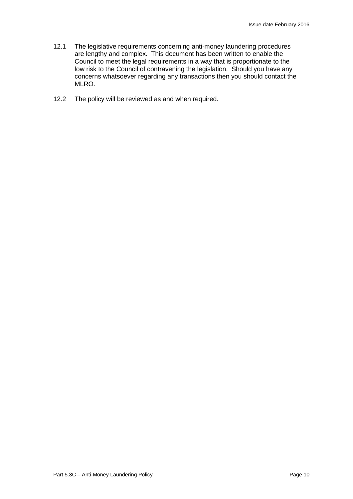- 12.1 The legislative requirements concerning anti-money laundering procedures are lengthy and complex. This document has been written to enable the Council to meet the legal requirements in a way that is proportionate to the low risk to the Council of contravening the legislation. Should you have any concerns whatsoever regarding any transactions then you should contact the MLRO.
- 12.2 The policy will be reviewed as and when required.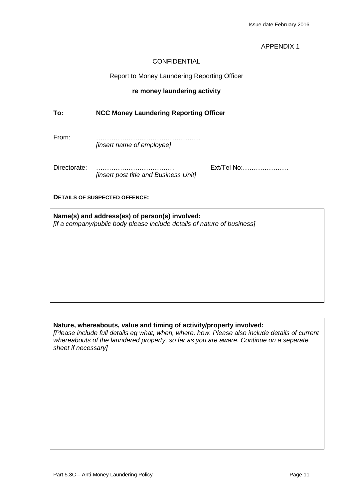## APPENDIX 1

## CONFIDENTIAL

### Report to Money Laundering Reporting Officer

## **re money laundering activity**

## **To: NCC Money Laundering Reporting Officer**

From: ………………………………………… *[insert name of employee]*

Directorate: ……………………………… Ext/Tel No:………………… *[insert post title and Business Unit]*

#### **DETAILS OF SUSPECTED OFFENCE:**

**Name(s) and address(es) of person(s) involved:** *[if a company/public body please include details of nature of business]*

## **Nature, whereabouts, value and timing of activity/property involved:**

*[Please include full details eg what, when, where, how. Please also include details of current whereabouts of the laundered property, so far as you are aware. Continue on a separate sheet if necessary]*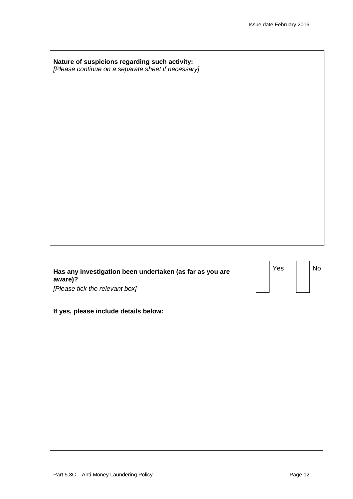| Nature of suspicions regarding such activity:      |  |
|----------------------------------------------------|--|
| [Please continue on a separate sheet if necessary] |  |

| Has any investigation been undertaken (as far as you are |
|----------------------------------------------------------|
| aware)?                                                  |
| [Please tick the relevant box]                           |

| If yes, please include details below: |  |  |  |  |  |
|---------------------------------------|--|--|--|--|--|
|---------------------------------------|--|--|--|--|--|

Yes | No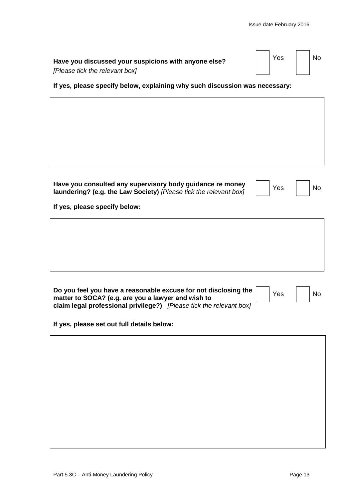| Have you discussed your suspicions with anyone else? | Yes | <b>No</b> |
|------------------------------------------------------|-----|-----------|
| [Please tick the relevant box]                       |     |           |

**If yes, please specify below, explaining why such discussion was necessary:**

| Have you consulted any supervisory body guidance re money                | Yes | No. |
|--------------------------------------------------------------------------|-----|-----|
| <b>laundering? (e.g. the Law Society)</b> [Please tick the relevant box] |     |     |

| es | N |
|----|---|
|    |   |

**If yes, please specify below:**

| Do you feel you have a reasonable excuse for not disclosing the     |  | Yes | No. |
|---------------------------------------------------------------------|--|-----|-----|
| matter to SOCA? (e.g. are you a lawyer and wish to                  |  |     |     |
| claim legal professional privilege?) [Please tick the relevant box] |  |     |     |

**If yes, please set out full details below:**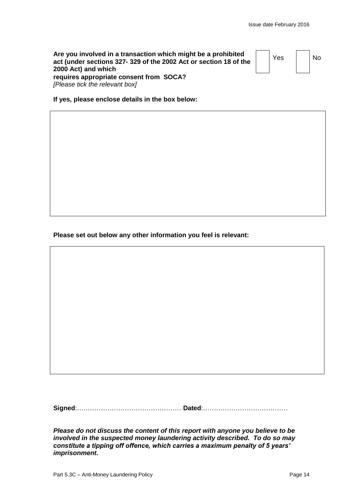| Are you involved in a transaction which might be a prohibited    |
|------------------------------------------------------------------|
| act (under sections 327-329 of the 2002 Act or section 18 of the |
| 2000 Act) and which                                              |
| requires appropriate consent from SOCA?                          |
| [Please tick the relevant box]                                   |

 $Yes \mid \text{No}$ 

**If yes, please enclose details in the box below:** 

**Please set out below any other information you feel is relevant:**

**Signed**:………………………………………… **Dated**:…………………………………

*Please do not discuss the content of this report with anyone you believe to be involved in the suspected money laundering activity described. To do so may constitute a tipping off offence, which carries a maximum penalty of 5 years' imprisonment.*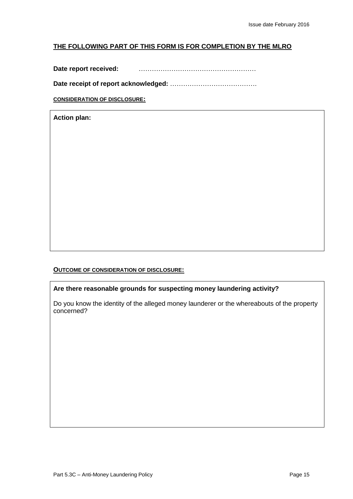## **THE FOLLOWING PART OF THIS FORM IS FOR COMPLETION BY THE MLRO**

**Date report received:** ………………………………………………

**Date receipt of report acknowledged:** ………………………………….

**CONSIDERATION OF DISCLOSURE:**

**Action plan:**

## **OUTCOME OF CONSIDERATION OF DISCLOSURE:**

**Are there reasonable grounds for suspecting money laundering activity?**

Do you know the identity of the alleged money launderer or the whereabouts of the property concerned?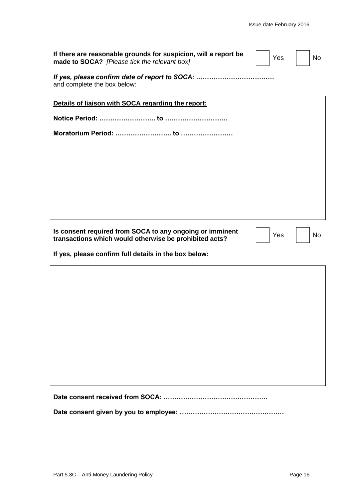| If there are reasonable grounds for suspicion, will a report be<br>made to SOCA? [Please tick the relevant box]    | Yes | <b>No</b> |
|--------------------------------------------------------------------------------------------------------------------|-----|-----------|
| and complete the box below:                                                                                        |     |           |
| Details of liaison with SOCA regarding the report:                                                                 |     |           |
|                                                                                                                    |     |           |
|                                                                                                                    |     |           |
|                                                                                                                    |     |           |
|                                                                                                                    |     |           |
|                                                                                                                    |     |           |
|                                                                                                                    |     |           |
|                                                                                                                    |     |           |
| Is consent required from SOCA to any ongoing or imminent<br>transactions which would otherwise be prohibited acts? | Yes | <b>No</b> |
| If yes, please confirm full details in the box below:                                                              |     |           |
|                                                                                                                    |     |           |
|                                                                                                                    |     |           |
|                                                                                                                    |     |           |
|                                                                                                                    |     |           |
|                                                                                                                    |     |           |

**Date consent received from SOCA: …………………………………………**

**Date consent given by you to employee: …………………………………………**